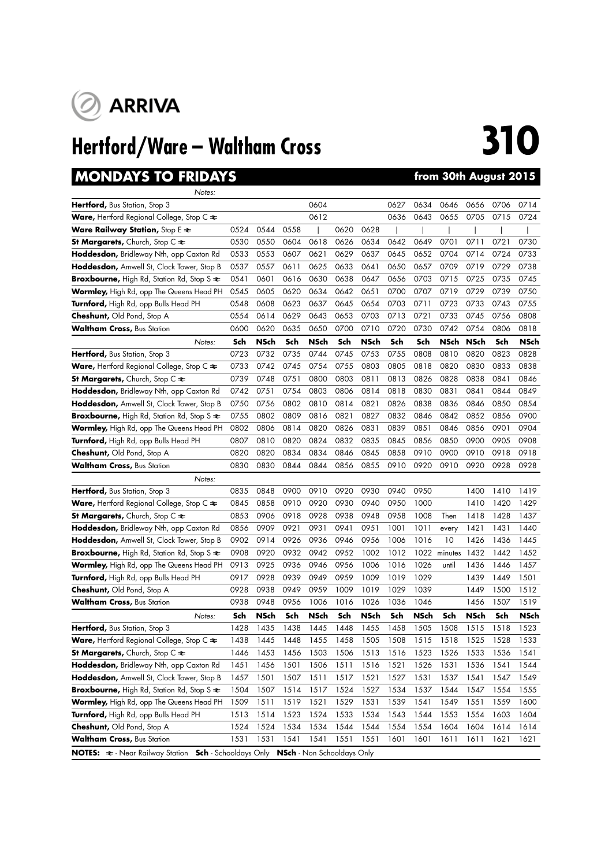

# **Hertford/Ware – Waltham Cross 310**

## **MONDAYS TO FRIDAYS from 30th August 2015**

| Notes:                                                                             |      |             |                                   |             |      |             |      |             |             |             |      |      |
|------------------------------------------------------------------------------------|------|-------------|-----------------------------------|-------------|------|-------------|------|-------------|-------------|-------------|------|------|
| Hertford, Bus Station, Stop 3                                                      |      |             |                                   | 0604        |      |             | 0627 | 0634        | 0646        | 0656        | 0706 | 0714 |
| <b>Ware,</b> Hertford Regional College, Stop C $\approx$                           |      |             |                                   | 0612        |      |             | 0636 | 0643        | 0655        | 0705        | 0715 | 0724 |
| <b>Ware Railway Station, Stop E <math>\geq</math></b>                              | 0524 | 0544        | 0558                              |             | 0620 | 0628        |      |             |             |             |      |      |
| St Margarets, Church, Stop $C \rightleftharpoons$                                  | 0530 | 0550        | 0604                              | 0618        | 0626 | 0634        | 0642 | 0649        | 0701        | 0711        | 0721 | 0730 |
| Hoddesdon, Bridleway Nth, opp Caxton Rd                                            | 0533 | 0553        | 0607                              | 0621        | 0629 | 0637        | 0645 | 0652        | 0704        | 0714        | 0724 | 0733 |
| Hoddesdon, Amwell St, Clock Tower, Stop B                                          | 0537 | 0557        | 0611                              | 0625        | 0633 | 0641        | 0650 | 0657        | 0709        | 0719        | 0729 | 0738 |
| Broxbourne, High Rd, Station Rd, Stop S $\approx$                                  | 0541 | 0601        | 0616                              | 0630        | 0638 | 0647        | 0656 | 0703        | 0715        | 0725        | 0735 | 0745 |
| Wormley, High Rd, opp The Queens Head PH                                           | 0545 | 0605        | 0620                              | 0634        | 0642 | 0651        | 0700 | 0707        | 0719        | 0729        | 0739 | 0750 |
| Turnford, High Rd, opp Bulls Head PH                                               | 0548 | 0608        | 0623                              | 0637        | 0645 | 0654        | 0703 | 0711        | 0723        | 0733        | 0743 | 0755 |
| <b>Cheshunt, Old Pond, Stop A</b>                                                  | 0554 | 0614        | 0629                              | 0643        | 0653 | 0703        | 0713 | 0721        | 0733        | 0745        | 0756 | 0808 |
| <b>Waltham Cross,</b> Bus Station                                                  | 0600 | 0620        | 0635                              | 0650        | 0700 | 0710        | 0720 | 0730        | 0742        | 0754        | 0806 | 0818 |
| Notes:                                                                             | Sch  | <b>NSch</b> | Sch                               | <b>NSch</b> | Sch  | <b>NSch</b> | Sch  | Sch         | <b>NSch</b> | <b>NSch</b> | Sch  | NSch |
| Hertford, Bus Station, Stop 3                                                      | 0723 | 0732        | 0735                              | 0744        | 0745 | 0753        | 0755 | 0808        | 0810        | 0820        | 0823 | 0828 |
| <b>Ware,</b> Hertford Regional College, Stop C $\approx$                           | 0733 | 0742        | 0745                              | 0754        | 0755 | 0803        | 0805 | 0818        | 0820        | 0830        | 0833 | 0838 |
| St Margarets, Church, Stop $C \rightleftharpoons$                                  | 0739 | 0748        | 0751                              | 0800        | 0803 | 0811        | 0813 | 0826        | 0828        | 0838        | 0841 | 0846 |
| Hoddesdon, Bridleway Nth, opp Caxton Rd                                            | 0742 | 0751        | 0754                              | 0803        | 0806 | 0814        | 0818 | 0830        | 0831        | 0841        | 0844 | 0849 |
| Hoddesdon, Amwell St, Clock Tower, Stop B                                          | 0750 | 0756        | 0802                              | 0810        | 0814 | 0821        | 0826 | 0838        | 0836        | 0846        | 0850 | 0854 |
| Broxbourne, High Rd, Station Rd, Stop S $\approx$                                  | 0755 | 0802        | 0809                              | 0816        | 0821 | 0827        | 0832 | 0846        | 0842        | 0852        | 0856 | 0900 |
| Wormley, High Rd, opp The Queens Head PH                                           | 0802 | 0806        | 0814                              | 0820        | 0826 | 0831        | 0839 | 0851        | 0846        | 0856        | 0901 | 0904 |
| Turnford, High Rd, opp Bulls Head PH                                               | 0807 | 0810        | 0820                              | 0824        | 0832 | 0835        | 0845 | 0856        | 0850        | 0900        | 0905 | 0908 |
| Cheshunt, Old Pond, Stop A                                                         | 0820 | 0820        | 0834                              | 0834        | 0846 | 0845        | 0858 | 0910        | 0900        | 0910        | 0918 | 0918 |
| <b>Waltham Cross, Bus Station</b>                                                  | 0830 | 0830        | 0844                              | 0844        | 0856 | 0855        | 0910 | 0920        | 0910        | 0920        | 0928 | 0928 |
| Notes:                                                                             |      |             |                                   |             |      |             |      |             |             |             |      |      |
| <b>Hertford,</b> Bus Station, Stop 3                                               | 0835 | 0848        | 0900                              | 0910        | 0920 | 0930        | 0940 | 0950        |             | 1400        | 1410 | 1419 |
| <b>Ware,</b> Hertford Regional College, Stop C $\approx$                           | 0845 | 0858        | 0910                              | 0920        | 0930 | 0940        | 0950 | 1000        |             | 1410        | 1420 | 1429 |
| St Margarets, Church, Stop $C \rightleftharpoons$                                  | 0853 | 0906        | 0918                              | 0928        | 0938 | 0948        | 0958 | 1008        | Then        | 1418        | 1428 | 1437 |
| Hoddesdon, Bridleway Nth, opp Caxton Rd                                            | 0856 | 0909        | 0921                              | 0931        | 0941 | 0951        | 1001 | 1011        | every       | 1421        | 1431 | 1440 |
| Hoddesdon, Amwell St, Clock Tower, Stop B                                          | 0902 | 0914        | 0926                              | 0936        | 0946 | 0956        | 1006 | 1016        | 10          | 1426        | 1436 | 1445 |
| Broxbourne, High Rd, Station Rd, Stop S $\approx$                                  | 0908 | 0920        | 0932                              | 0942        | 0952 | 1002        | 1012 | 1022        | minutes     | 1432        | 1442 | 1452 |
| Wormley, High Rd, opp The Queens Head PH                                           | 0913 | 0925        | 0936                              | 0946        | 0956 | 1006        | 1016 | 1026        | until       | 1436        | 1446 | 1457 |
| Turnford, High Rd, opp Bulls Head PH                                               | 0917 | 0928        | 0939                              | 0949        | 0959 | 1009        | 1019 | 1029        |             | 1439        | 1449 | 1501 |
| <b>Cheshunt, Old Pond, Stop A</b>                                                  | 0928 | 0938        | 0949                              | 0959        | 1009 | 1019        | 1029 | 1039        |             | 1449        | 1500 | 1512 |
| <b>Waltham Cross, Bus Station</b>                                                  | 0938 | 0948        | 0956                              | 1006        | 1016 | 1026        | 1036 | 1046        |             | 1456        | 1507 | 1519 |
| Notes:                                                                             | Sch  | <b>NSch</b> | Sch                               | <b>NSch</b> | Sch  | <b>NSch</b> | Sch  | <b>NSch</b> | Sch         | <b>NSch</b> | Sch  | NSch |
| <b>Hertford,</b> Bus Station, Stop 3                                               | 1428 | 1435        | 1438                              | 1445        | 1448 | 1455        | 1458 | 1505        | 1508        | 1515        | 1518 | 1523 |
| <b>Ware,</b> Hertford Regional College, Stop C $\approx$                           | 1438 | 1445        | 1448                              | 1455        | 1458 | 1505        | 1508 | 1515        | 1518        | 1525        | 1528 | 1533 |
| St Margarets, Church, Stop C $\Leftarrow$                                          | 1446 | 1453        | 1456                              | 1503        | 1506 | 1513        | 1516 | 1523        | 1526        | 1533        | 1536 | 1541 |
| Hoddesdon, Bridleway Nth, opp Caxton Rd                                            | 1451 | 1456        | 1501                              | 1506        | 1511 | 1516        | 1521 | 1526        | 1531        | 1536        | 1541 | 1544 |
| Hoddesdon, Amwell St, Clock Tower, Stop B                                          | 1457 | 1501        | 1507                              | 1511        | 1517 | 1521        | 1527 | 1531        | 1537        | 1541        | 1547 | 1549 |
| Broxbourne, High Rd, Station Rd, Stop S $\Leftarrow$                               | 1504 | 1507        | 1514                              | 1517        | 1524 | 1527        | 1534 | 1537        | 1544        | 1547        | 1554 | 1555 |
| Wormley, High Rd, opp The Queens Head PH                                           | 1509 | 1511        | 1519                              | 1521        | 1529 | 1531        | 1539 | 1541        | 1549        | 1551        | 1559 | 1600 |
| Turnford, High Rd, opp Bulls Head PH                                               | 1513 | 1514        | 1523                              | 1524        | 1533 | 1534        | 1543 | 1544        | 1553        | 1554        | 1603 | 1604 |
| <b>Cheshunt, Old Pond, Stop A</b>                                                  | 1524 | 1524        | 1534                              | 1534        | 1544 | 1544        | 1554 | 1554        | 1604        | 1604        | 1614 | 1614 |
| Waltham Cross, Bus Station                                                         | 1531 | 1531        | 1541                              | 1541        | 1551 | 1551        | 1601 | 1601        | 1611        | 1611        | 1621 | 1621 |
| <b>NOTES:</b> $\Rightarrow$ - Near Railway Station<br><b>Sch</b> - Schooldays Only |      |             | <b>NSch</b> - Non Schooldays Only |             |      |             |      |             |             |             |      |      |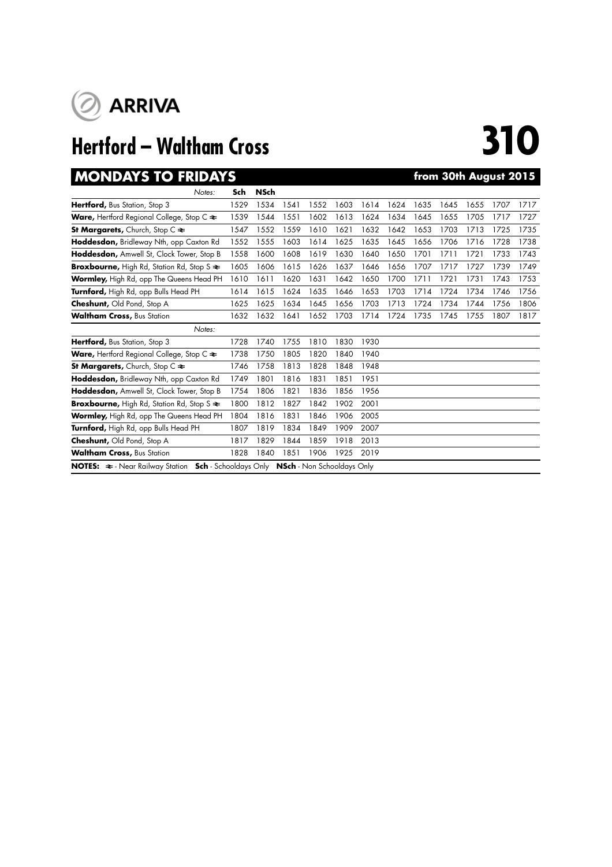

# **Hertford – Waltham Cross 310**

## **MONDAYS TO FRIDAYS from 30th August 2015**

| MUNDAI 3 IU FRIDAI 3                                                                                             |      |             |      |      |      |      |      |      |      |      | <u>HUIH JUHI AUYUSI ZUTU</u> |      |
|------------------------------------------------------------------------------------------------------------------|------|-------------|------|------|------|------|------|------|------|------|------------------------------|------|
| Notes:                                                                                                           | Sch  | <b>NSch</b> |      |      |      |      |      |      |      |      |                              |      |
| Hertford, Bus Station, Stop 3                                                                                    | 1529 | 1534        | 1541 | 1552 | 1603 | 1614 | 1624 | 1635 | 1645 | 1655 | 1707                         | 1717 |
| <b>Ware, Hertford Regional College, Stop C <math>\approx</math></b>                                              | 1539 | 1544        | 1551 | 1602 | 1613 | 1624 | 1634 | 1645 | 1655 | 1705 | 1717                         | 1727 |
| <b>St Margarets, Church, Stop C <math>\approx</math></b>                                                         | 1547 | 1552        | 1559 | 1610 | 1621 | 1632 | 1642 | 1653 | 1703 | 1713 | 1725                         | 1735 |
| Hoddesdon, Bridleway Nth, opp Caxton Rd                                                                          | 1552 | 1555        | 1603 | 1614 | 1625 | 1635 | 1645 | 1656 | 1706 | 1716 | 1728                         | 1738 |
| Hoddesdon, Amwell St, Clock Tower, Stop B                                                                        | 1558 | 1600        | 1608 | 1619 | 1630 | 1640 | 1650 | 1701 | 1711 | 1721 | 1733                         | 1743 |
| <b>Broxbourne, High Rd, Station Rd, Stop S <math>\approx</math></b>                                              | 1605 | 1606        | 1615 | 1626 | 1637 | 1646 | 1656 | 1707 | 1717 | 1727 | 1739                         | 1749 |
| Wormley, High Rd, opp The Queens Head PH                                                                         | 1610 | 1611        | 1620 | 1631 | 1642 | 1650 | 1700 | 1711 | 1721 | 1731 | 1743                         | 1753 |
| Turnford, High Rd, opp Bulls Head PH                                                                             | 1614 | 1615        | 1624 | 1635 | 1646 | 1653 | 1703 | 1714 | 1724 | 1734 | 1746                         | 1756 |
| Cheshunt, Old Pond, Stop A                                                                                       | 1625 | 1625        | 1634 | 1645 | 1656 | 1703 | 1713 | 1724 | 1734 | 1744 | 1756                         | 1806 |
| <b>Waltham Cross, Bus Station</b>                                                                                | 1632 | 1632        | 1641 | 1652 | 1703 | 1714 | 1724 | 1735 | 1745 | 1755 | 1807                         | 1817 |
| Notes:                                                                                                           |      |             |      |      |      |      |      |      |      |      |                              |      |
| Hertford, Bus Station, Stop 3                                                                                    | 1728 | 1740        | 1755 | 1810 | 1830 | 1930 |      |      |      |      |                              |      |
| <b>Ware,</b> Hertford Regional College, Stop C $\approx$                                                         | 1738 | 1750        | 1805 | 1820 | 1840 | 1940 |      |      |      |      |                              |      |
| St Margarets, Church, Stop C $\approx$                                                                           | 1746 | 1758        | 1813 | 1828 | 1848 | 1948 |      |      |      |      |                              |      |
| Hoddesdon, Bridleway Nth, opp Caxton Rd                                                                          | 1749 | 1801        | 1816 | 1831 | 1851 | 1951 |      |      |      |      |                              |      |
| Hoddesdon, Amwell St, Clock Tower, Stop B                                                                        | 1754 | 1806        | 1821 | 1836 | 1856 | 1956 |      |      |      |      |                              |      |
| Broxbourne, High Rd, Station Rd, Stop S $\approx$                                                                | 1800 | 1812        | 1827 | 1842 | 1902 | 2001 |      |      |      |      |                              |      |
| Wormley, High Rd, opp The Queens Head PH                                                                         | 1804 | 1816        | 1831 | 1846 | 1906 | 2005 |      |      |      |      |                              |      |
| Turnford, High Rd, opp Bulls Head PH                                                                             | 1807 | 1819        | 1834 | 1849 | 1909 | 2007 |      |      |      |      |                              |      |
| Cheshunt, Old Pond, Stop A                                                                                       | 1817 | 1829        | 1844 | 1859 | 1918 | 2013 |      |      |      |      |                              |      |
| <b>Waltham Cross, Bus Station</b>                                                                                | 1828 | 1840        | 1851 | 1906 | 1925 | 2019 |      |      |      |      |                              |      |
| <b>Sch</b> - Schooldays Only <b>NSch</b> - Non Schooldays Only<br><b>NOTES:</b> $\approx$ - Near Railway Station |      |             |      |      |      |      |      |      |      |      |                              |      |
|                                                                                                                  |      |             |      |      |      |      |      |      |      |      |                              |      |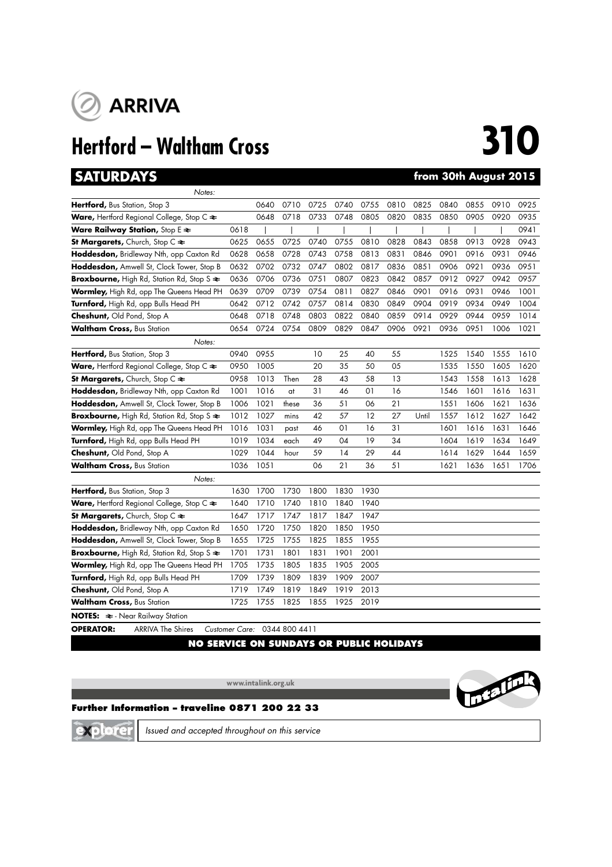

## **Hertford – Waltham Cross 310**

## **SATURDAYS from 30th August 2015**

| Notes:                                                              |      |      |       |      |      |                |      |       |      |      |      |      |
|---------------------------------------------------------------------|------|------|-------|------|------|----------------|------|-------|------|------|------|------|
| Hertford, Bus Station, Stop 3                                       |      | 0640 | 0710  | 0725 | 0740 | 0755           | 0810 | 0825  | 0840 | 0855 | 0910 | 0925 |
| <b>Ware, Hertford Regional College, Stop C <math>\approx</math></b> |      | 0648 | 0718  | 0733 | 0748 | 0805           | 0820 | 0835  | 0850 | 0905 | 0920 | 0935 |
| Ware Railway Station, Stop E $\approx$                              | 0618 |      |       |      |      |                |      |       |      |      |      | 0941 |
| St Margarets, Church, Stop $C \rightleftharpoons$                   | 0625 | 0655 | 0725  | 0740 | 0755 | 0810           | 0828 | 0843  | 0858 | 0913 | 0928 | 0943 |
| Hoddesdon, Bridleway Nth, opp Caxton Rd                             | 0628 | 0658 | 0728  | 0743 | 0758 | 0813           | 0831 | 0846  | 0901 | 0916 | 0931 | 0946 |
| Hoddesdon, Amwell St, Clock Tower, Stop B                           | 0632 | 0702 | 0732  | 0747 | 0802 | 0817           | 0836 | 0851  | 0906 | 0921 | 0936 | 0951 |
| Broxbourne, High Rd, Station Rd, Stop S $\approx$                   | 0636 | 0706 | 0736  | 0751 | 0807 | 0823           | 0842 | 0857  | 0912 | 0927 | 0942 | 0957 |
| Wormley, High Rd, opp The Queens Head PH                            | 0639 | 0709 | 0739  | 0754 | 0811 | 0827           | 0846 | 0901  | 0916 | 0931 | 0946 | 1001 |
| Turnford, High Rd, opp Bulls Head PH                                | 0642 | 0712 | 0742  | 0757 | 0814 | 0830           | 0849 | 0904  | 0919 | 0934 | 0949 | 1004 |
| Cheshunt, Old Pond, Stop A                                          | 0648 | 0718 | 0748  | 0803 | 0822 | 0840           | 0859 | 0914  | 0929 | 0944 | 0959 | 1014 |
| <b>Waltham Cross, Bus Station</b>                                   | 0654 | 0724 | 0754  | 0809 | 0829 | 0847           | 0906 | 0921  | 0936 | 0951 | 1006 | 1021 |
| Notes:                                                              |      |      |       |      |      |                |      |       |      |      |      |      |
| Hertford, Bus Station, Stop 3                                       | 0940 | 0955 |       | 10   | 25   | 40             | 55   |       | 1525 | 1540 | 1555 | 1610 |
| <b>Ware, Hertford Regional College, Stop C <math>\approx</math></b> | 0950 | 1005 |       | 20   | 35   | 50             | 05   |       | 1535 | 1550 | 1605 | 1620 |
| St Margarets, Church, Stop C $\approx$                              | 0958 | 1013 | Then  | 28   | 43   | 58             | 13   |       | 1543 | 1558 | 1613 | 1628 |
| Hoddesdon, Bridleway Nth, opp Caxton Rd                             | 1001 | 1016 | at    | 31   | 46   | O <sub>1</sub> | 16   |       | 1546 | 1601 | 1616 | 1631 |
| Hoddesdon, Amwell St, Clock Tower, Stop B                           | 1006 | 1021 | these | 36   | 51   | 06             | 21   |       | 1551 | 1606 | 1621 | 1636 |
| Broxbourne, High Rd, Station Rd, Stop S $\Leftarrow$                | 1012 | 1027 | mins  | 42   | 57   | 12             | 27   | Until | 1557 | 1612 | 1627 | 1642 |
| Wormley, High Rd, opp The Queens Head PH                            | 1016 | 1031 | past  | 46   | 01   | 16             | 31   |       | 1601 | 1616 | 1631 | 1646 |
| Turnford, High Rd, opp Bulls Head PH                                | 1019 | 1034 | each  | 49   | 04   | 19             | 34   |       | 1604 | 1619 | 1634 | 1649 |
| Cheshunt, Old Pond, Stop A                                          | 1029 | 1044 | hour  | 59   | 14   | 29             | 44   |       | 1614 | 1629 | 1644 | 1659 |
| <b>Waltham Cross, Bus Station</b>                                   | 1036 | 1051 |       | 06   | 21   | 36             | 51   |       | 1621 | 1636 | 1651 | 1706 |
| Notes:                                                              |      |      |       |      |      |                |      |       |      |      |      |      |
| Hertford, Bus Station, Stop 3                                       | 1630 | 1700 | 1730  | 1800 | 1830 | 1930           |      |       |      |      |      |      |
| Ware, Hertford Regional College, Stop C $\blacktriangleright$       | 1640 | 1710 | 1740  | 1810 | 1840 | 1940           |      |       |      |      |      |      |
| St Margarets, Church, Stop C $\approx$                              | 1647 | 1717 | 1747  | 1817 | 1847 | 1947           |      |       |      |      |      |      |
| Hoddesdon, Bridleway Nth, opp Caxton Rd                             | 1650 | 1720 | 1750  | 1820 | 1850 | 1950           |      |       |      |      |      |      |
| Hoddesdon, Amwell St, Clock Tower, Stop B                           | 1655 | 1725 | 1755  | 1825 | 1855 | 1955           |      |       |      |      |      |      |
| Broxbourne, High Rd, Station Rd, Stop S $\approx$                   | 1701 | 1731 | 1801  | 1831 | 1901 | 2001           |      |       |      |      |      |      |
| Wormley, High Rd, opp The Queens Head PH                            | 1705 | 1735 | 1805  | 1835 | 1905 | 2005           |      |       |      |      |      |      |
| Turnford, High Rd, opp Bulls Head PH                                | 1709 | 1739 | 1809  | 1839 | 1909 | 2007           |      |       |      |      |      |      |
| Cheshunt, Old Pond, Stop A                                          | 1719 | 1749 | 1819  | 1849 | 1919 | 2013           |      |       |      |      |      |      |
| <b>Waltham Cross, Bus Station</b>                                   | 1725 | 1755 | 1825  | 1855 | 1925 | 2019           |      |       |      |      |      |      |
| <b>NOTES:</b> $\approx$ - Near Railway Station                      |      |      |       |      |      |                |      |       |      |      |      |      |

**OPERATOR:** ARRIVA The Shires *Customer Care:* 0344 800 4411

## **NO SERVICE ON SUNDAYS OR PUBLIC HOLIDAYS**

**www.intalink.org.uk**



## **Further Information – traveline 0871 200 22 33**

xplore

*Issued and accepted throughout on this service*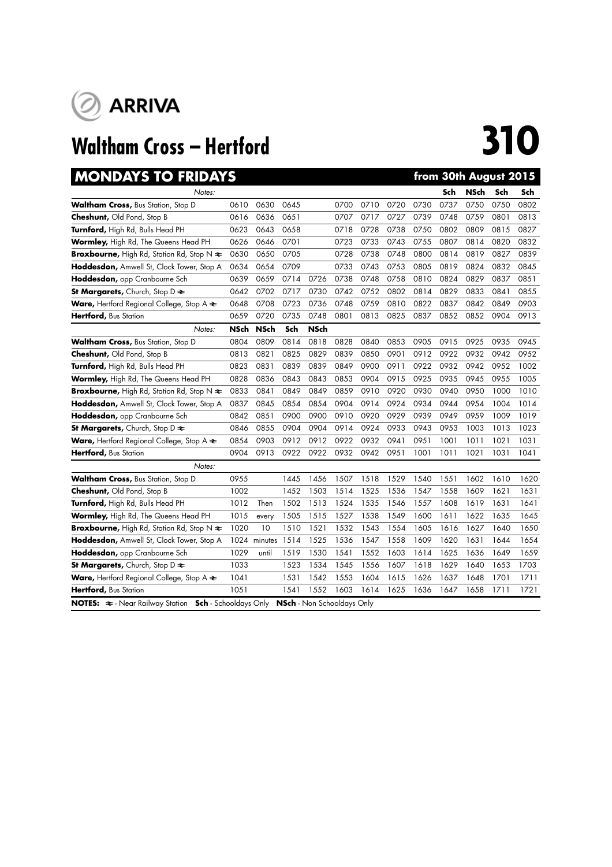

# **Waltham Cross – Hertford 310**

| <b>MONDAYS TO FRIDAYS</b>                                                       |             |             |      |                                   |      |      |      |      |      |             | from 30th August 2015 |      |
|---------------------------------------------------------------------------------|-------------|-------------|------|-----------------------------------|------|------|------|------|------|-------------|-----------------------|------|
| Notes:                                                                          |             |             |      |                                   |      |      |      |      | Sch  | <b>NSch</b> | Sch                   | Sch  |
| <b>Waltham Cross, Bus Station, Stop D</b>                                       | 0610        | 0630        | 0645 |                                   | 0700 | 0710 | 0720 | 0730 | 0737 | 0750        | 0750                  | 0802 |
| <b>Cheshunt, Old Pond, Stop B</b>                                               | 0616        | 0636        | 0651 |                                   | 0707 | 0717 | 0727 | 0739 | 0748 | 0759        | 0801                  | 0813 |
| Turnford, High Rd, Bulls Head PH                                                | 0623        | 0643        | 0658 |                                   | 0718 | 0728 | 0738 | 0750 | 0802 | 0809        | 0815                  | 0827 |
| Wormley, High Rd, The Queens Head PH                                            | 0626        | 0646        | 0701 |                                   | 0723 | 0733 | 0743 | 0755 | 0807 | 0814        | 0820                  | 0832 |
| <b>Broxbourne, High Rd, Station Rd, Stop N <math>\Leftarrow</math></b>          | 0630        | 0650        | 0705 |                                   | 0728 | 0738 | 0748 | 0800 | 0814 | 0819        | 0827                  | 0839 |
| Hoddesdon, Amwell St, Clock Tower, Stop A                                       | 0634        | 0654        | 0709 |                                   | 0733 | 0743 | 0753 | 0805 | 0819 | 0824        | 0832                  | 0845 |
| Hoddesdon, opp Cranbourne Sch                                                   | 0639        | 0659        | 0714 | 0726                              | 0738 | 0748 | 0758 | 0810 | 0824 | 0829        | 0837                  | 0851 |
| St Margarets, Church, Stop D $\approx$                                          | 0642        | 0702        | 0717 | 0730                              | 0742 | 0752 | 0802 | 0814 | 0829 | 0833        | 0841                  | 0855 |
| <b>Ware, Hertford Regional College, Stop A <math>\approx</math></b>             | 0648        | 0708        | 0723 | 0736                              | 0748 | 0759 | 0810 | 0822 | 0837 | 0842        | 0849                  | 0903 |
| Hertford, Bus Station                                                           | 0659        | 0720        | 0735 | 0748                              | 0801 | 0813 | 0825 | 0837 | 0852 | 0852        | 0904                  | 0913 |
| Notes:                                                                          | <b>NSch</b> | <b>NSch</b> | Sch  | <b>NSch</b>                       |      |      |      |      |      |             |                       |      |
| Waltham Cross, Bus Station, Stop D                                              | 0804        | 0809        | 0814 | 0818                              | 0828 | 0840 | 0853 | 0905 | 0915 | 0925        | 0935                  | 0945 |
| Cheshunt, Old Pond, Stop B                                                      | 0813        | 0821        | 0825 | 0829                              | 0839 | 0850 | 0901 | 0912 | 0922 | 0932        | 0942                  | 0952 |
| Turnford, High Rd, Bulls Head PH                                                | 0823        | 0831        | 0839 | 0839                              | 0849 | 0900 | 0911 | 0922 | 0932 | 0942        | 0952                  | 1002 |
| Wormley, High Rd, The Queens Head PH                                            | 0828        | 0836        | 0843 | 0843                              | 0853 | 0904 | 0915 | 0925 | 0935 | 0945        | 0955                  | 1005 |
| Broxbourne, High Rd, Station Rd, Stop N $\approx$                               | 0833        | 0841        | 0849 | 0849                              | 0859 | 0910 | 0920 | 0930 | 0940 | 0950        | 1000                  | 1010 |
| Hoddesdon, Amwell St, Clock Tower, Stop A                                       | 0837        | 0845        | 0854 | 0854                              | 0904 | 0914 | 0924 | 0934 | 0944 | 0954        | 1004                  | 1014 |
| Hoddesdon, opp Cranbourne Sch                                                   | 0842        | 0851        | 0900 | 0900                              | 0910 | 0920 | 0929 | 0939 | 0949 | 0959        | 1009                  | 1019 |
| St Margarets, Church, Stop D $\approx$                                          | 0846        | 0855        | 0904 | 0904                              | 0914 | 0924 | 0933 | 0943 | 0953 | 1003        | 1013                  | 1023 |
| Ware, Hertford Regional College, Stop A $\Leftarrow$                            | 0854        | 0903        | 0912 | 0912                              | 0922 | 0932 | 0941 | 0951 | 1001 | 1011        | 1021                  | 1031 |
| Hertford, Bus Station                                                           | 0904        | 0913        | 0922 | 0922                              | 0932 | 0942 | 0951 | 1001 | 1011 | 1021        | 1031                  | 1041 |
| Notes:                                                                          |             |             |      |                                   |      |      |      |      |      |             |                       |      |
| Waltham Cross, Bus Station, Stop D                                              | 0955        |             | 1445 | 1456                              | 1507 | 1518 | 1529 | 1540 | 1551 | 1602        | 1610                  | 1620 |
| Cheshunt, Old Pond, Stop B                                                      | 1002        |             | 1452 | 1503                              | 1514 | 1525 | 1536 | 1547 | 1558 | 1609        | 1621                  | 1631 |
| Turnford, High Rd, Bulls Head PH                                                | 1012        | Then        | 1502 | 1513                              | 1524 | 1535 | 1546 | 1557 | 1608 | 1619        | 1631                  | 1641 |
| Wormley, High Rd, The Queens Head PH                                            | 1015        | every       | 1505 | 1515                              | 1527 | 1538 | 1549 | 1600 | 1611 | 1622        | 1635                  | 1645 |
| <b>Broxbourne, High Rd, Station Rd, Stop N <math>\approx</math></b>             | 1020        | 10          | 1510 | 1521                              | 1532 | 1543 | 1554 | 1605 | 1616 | 1627        | 1640                  | 1650 |
| Hoddesdon, Amwell St, Clock Tower, Stop A                                       | 1024        | minutes     | 1514 | 1525                              | 1536 | 1547 | 1558 | 1609 | 1620 | 1631        | 1644                  | 1654 |
| Hoddesdon, opp Cranbourne Sch                                                   | 1029        | until       | 1519 | 1530                              | 1541 | 1552 | 1603 | 1614 | 1625 | 1636        | 1649                  | 1659 |
| St Margarets, Church, Stop D $\approx$                                          | 1033        |             | 1523 | 1534                              | 1545 | 1556 | 1607 | 1618 | 1629 | 1640        | 1653                  | 1703 |
| <b>Ware, Hertford Regional College, Stop A <math>\approx</math></b>             | 1041        |             | 1531 | 1542                              | 1553 | 1604 | 1615 | 1626 | 1637 | 1648        | 1701                  | 1711 |
| Hertford, Bus Station                                                           | 1051        |             | 1541 | 1552                              | 1603 | 1614 | 1625 | 1636 | 1647 | 1658        | 1711                  | 1721 |
| <b>NOTES:</b> $\Rightarrow$ - Near Railway Station <b>Sch</b> - Schooldays Only |             |             |      | <b>NSch</b> - Non Schooldays Only |      |      |      |      |      |             |                       |      |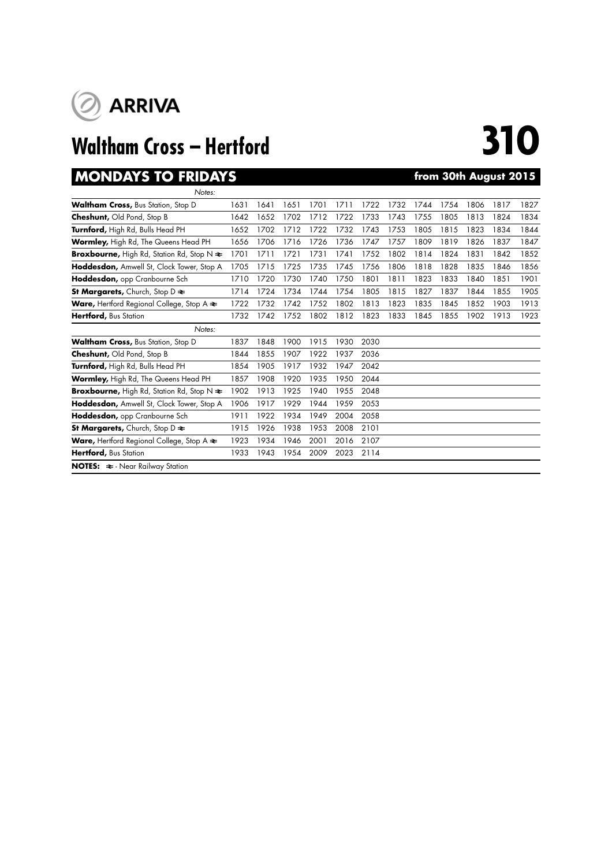

# **Waltham Cross – Hertford 310**

## **MONDAYS TO FRIDAYS from 30th August 2015**

| Notes:                                                              |      |      |      |      |      |      |      |      |      |      |      |      |
|---------------------------------------------------------------------|------|------|------|------|------|------|------|------|------|------|------|------|
| <b>Waltham Cross, Bus Station, Stop D</b>                           | 1631 | 1641 | 1651 | 1701 | 1711 | 1722 | 1732 | 1744 | 1754 | 1806 | 1817 | 1827 |
| <b>Cheshunt, Old Pond, Stop B</b>                                   | 1642 | 1652 | 1702 | 1712 | 1722 | 1733 | 1743 | 1755 | 1805 | 1813 | 1824 | 1834 |
| Turnford, High Rd, Bulls Head PH                                    | 1652 | 1702 | 1712 | 1722 | 1732 | 1743 | 1753 | 1805 | 1815 | 1823 | 1834 | 1844 |
| Wormley, High Rd, The Queens Head PH                                | 1656 | 1706 | 1716 | 1726 | 1736 | 1747 | 1757 | 1809 | 1819 | 1826 | 1837 | 1847 |
| <b>Broxbourne,</b> High Rd, Station Rd, Stop N $\approx$            | 1701 | 1711 | 1721 | 1731 | 1741 | 1752 | 1802 | 1814 | 1824 | 1831 | 1842 | 1852 |
| Hoddesdon, Amwell St, Clock Tower, Stop A                           | 1705 | 1715 | 1725 | 1735 | 1745 | 1756 | 1806 | 1818 | 1828 | 1835 | 1846 | 1856 |
| Hoddesdon, opp Cranbourne Sch                                       | 1710 | 1720 | 1730 | 1740 | 1750 | 1801 | 1811 | 1823 | 1833 | 1840 | 1851 | 1901 |
| <b>St Margarets, Church, Stop D <math>\approx</math></b>            | 1714 | 1724 | 1734 | 1744 | 1754 | 1805 | 1815 | 1827 | 1837 | 1844 | 1855 | 1905 |
| <b>Ware,</b> Hertford Regional College, Stop A $\triangleq$         | 1722 | 1732 | 1742 | 1752 | 1802 | 1813 | 1823 | 1835 | 1845 | 1852 | 1903 | 1913 |
| Hertford, Bus Station                                               | 1732 | 1742 | 1752 | 1802 | 1812 | 1823 | 1833 | 1845 | 1855 | 1902 | 1913 | 1923 |
| Notes:                                                              |      |      |      |      |      |      |      |      |      |      |      |      |
| <b>Waltham Cross, Bus Station, Stop D</b>                           | 1837 | 1848 | 1900 | 1915 | 1930 | 2030 |      |      |      |      |      |      |
| <b>Cheshunt, Old Pond, Stop B</b>                                   | 1844 | 1855 | 1907 | 1922 | 1937 | 2036 |      |      |      |      |      |      |
| Turnford, High Rd, Bulls Head PH                                    | 1854 | 1905 | 1917 | 1932 | 1947 | 2042 |      |      |      |      |      |      |
| Wormley, High Rd, The Queens Head PH                                | 1857 | 1908 | 1920 | 1935 | 1950 | 2044 |      |      |      |      |      |      |
| <b>Broxbourne, High Rd, Station Rd, Stop N <math>\approx</math></b> | 1902 | 1913 | 1925 | 1940 | 1955 | 2048 |      |      |      |      |      |      |
| Hoddesdon, Amwell St, Clock Tower, Stop A                           | 1906 | 1917 | 1929 | 1944 | 1959 | 2053 |      |      |      |      |      |      |
| Hoddesdon, opp Cranbourne Sch                                       | 1911 | 1922 | 1934 | 1949 | 2004 | 2058 |      |      |      |      |      |      |
| <b>St Margarets,</b> Church, Stop D $\approx$                       | 1915 | 1926 | 1938 | 1953 | 2008 | 2101 |      |      |      |      |      |      |
| <b>Ware, Hertford Regional College, Stop A <math>\approx</math></b> | 1923 | 1934 | 1946 | 2001 | 2016 | 2107 |      |      |      |      |      |      |
| Hertford, Bus Station                                               | 1933 | 1943 | 1954 | 2009 | 2023 | 2114 |      |      |      |      |      |      |
| <b>NOTES:</b> $\approx$ - Near Railway Station                      |      |      |      |      |      |      |      |      |      |      |      |      |